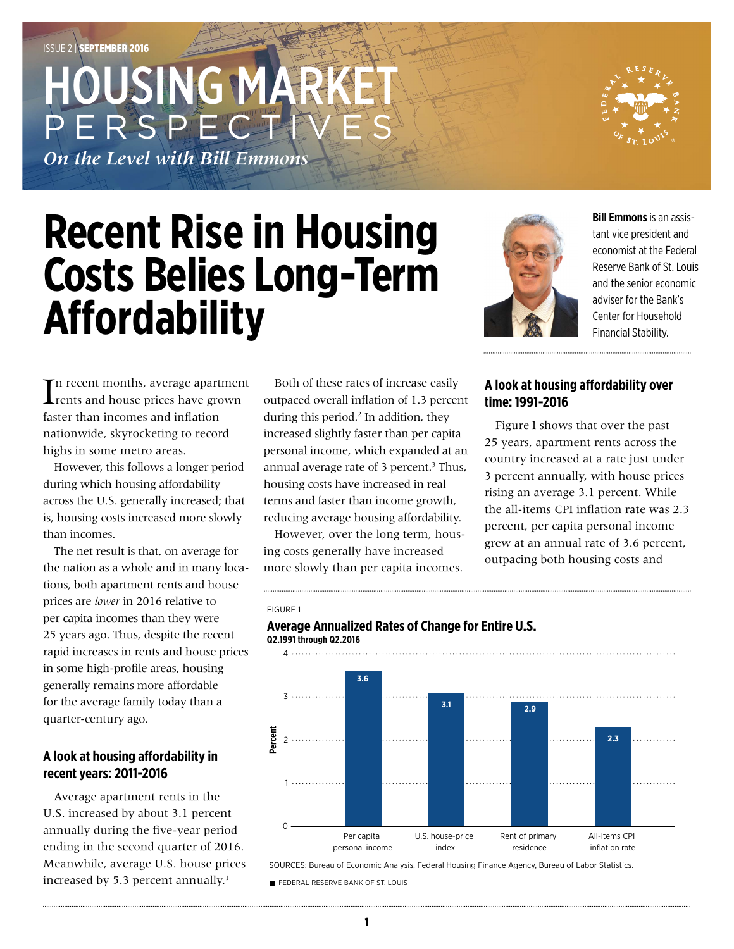ISSUE 2 | SEPTEMBER 2016

# HOUSING MAR PERSPE

*On the Level with Bill Emmons*

# **Recent Rise in Housing Costs Belies Long-Term Affordability**

In recent months, average apartmen<br>
rents and house prices have grown In recent months, average apartment faster than incomes and inflation nationwide, skyrocketing to record highs in some metro areas.

However, this follows a longer period during which housing affordability across the U.S. generally increased; that is, housing costs increased more slowly than incomes.

The net result is that, on average for the nation as a whole and in many locations, both apartment rents and house prices are *lower* in 2016 relative to per capita incomes than they were 25 years ago. Thus, despite the recent rapid increases in rents and house prices in some high-profile areas, housing generally remains more affordable for the average family today than a quarter-century ago.

# **A look at housing affordability in recent years: 2011-2016**

Average apartment rents in the U.S. increased by about 3.1 percent annually during the five-year period ending in the second quarter of 2016. Meanwhile, average U.S. house prices increased by 5.3 percent annually.<sup>1</sup>

Both of these rates of increase easily outpaced overall inflation of 1.3 percent during this period.<sup>2</sup> In addition, they increased slightly faster than per capita personal income, which expanded at an annual average rate of 3 percent.<sup>3</sup> Thus, housing costs have increased in real terms and faster than income growth, reducing average housing affordability.

However, over the long term, housing costs generally have increased more slowly than per capita incomes.



**Bill Emmons** is an assistant vice president and economist at the Federal Reserve Bank of St. Louis and the senior economic adviser for the Bank's Center for Household Financial Stability.

# **A look at housing affordability over time: 1991-2016**

Figure 1 shows that over the past 25 years, apartment rents across the country increased at a rate just under 3 percent annually, with house prices rising an average 3.1 percent. While the all-items CPI inflation rate was 2.3 percent, per capita personal income grew at an annual rate of 3.6 percent, outpacing both housing costs and

### FIGURE 1





SOURCES: Bureau of Economic Analysis, Federal Housing Finance Agency, Bureau of Labor Statistics.

**FEDERAL RESERVE BANK OF ST. LOUIS**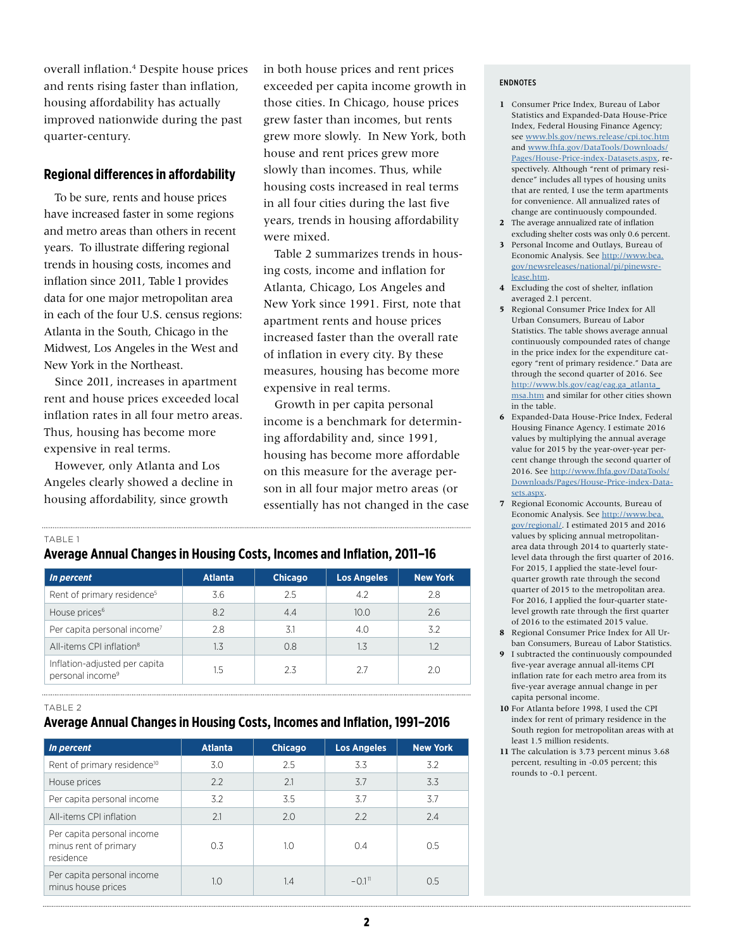overall inflation.4 Despite house prices and rents rising faster than inflation, housing affordability has actually improved nationwide during the past quarter-century.

## **Regional differences in affordability**

To be sure, rents and house prices have increased faster in some regions and metro areas than others in recent years. To illustrate differing regional trends in housing costs, incomes and inflation since 2011, Table 1 provides data for one major metropolitan area in each of the four U.S. census regions: Atlanta in the South, Chicago in the Midwest, Los Angeles in the West and New York in the Northeast.

Since 2011, increases in apartment rent and house prices exceeded local inflation rates in all four metro areas. Thus, housing has become more expensive in real terms.

However, only Atlanta and Los Angeles clearly showed a decline in housing affordability, since growth

in both house prices and rent prices exceeded per capita income growth in those cities. In Chicago, house prices grew faster than incomes, but rents grew more slowly. In New York, both house and rent prices grew more slowly than incomes. Thus, while housing costs increased in real terms in all four cities during the last five years, trends in housing affordability were mixed.

Table 2 summarizes trends in housing costs, income and inflation for Atlanta, Chicago, Los Angeles and New York since 1991. First, note that apartment rents and house prices increased faster than the overall rate of inflation in every city. By these measures, housing has become more expensive in real terms.

Growth in per capita personal income is a benchmark for determining affordability and, since 1991, housing has become more affordable on this measure for the average person in all four major metro areas (or essentially has not changed in the case

#### TABLE 1

### **Average Annual Changes in Housing Costs, Incomes and Inflation, 2011–16**

| In percent                                                    | <b>Atlanta</b> | <b>Chicago</b> | <b>Los Angeles</b> | <b>New York</b> |
|---------------------------------------------------------------|----------------|----------------|--------------------|-----------------|
| Rent of primary residence <sup>5</sup>                        | 3.6            | 2.5            | 4.2                | 2.8             |
| House prices <sup>6</sup>                                     | 8.2            | 4.4            | 10.0               | 2.6             |
| Per capita personal income <sup>7</sup>                       | 2.8            | 3.1            | 4.0                | 32              |
| All-items CPI inflation <sup>8</sup>                          | 1.3            | 0.8            | 1.3                | 1.2             |
| Inflation-adjusted per capita<br>personal income <sup>9</sup> | 1.5            | 2.3            | 2.7                | 20              |

TABLE 2

# **Average Annual Changes in Housing Costs, Incomes and Inflation, 1991–2016**

| In percent                                                       | <b>Atlanta</b> | <b>Chicago</b> | <b>Los Angeles</b>   | <b>New York</b> |
|------------------------------------------------------------------|----------------|----------------|----------------------|-----------------|
| Rent of primary residence <sup>10</sup>                          | 3.0            | 2.5            | 3.3                  | 3.2             |
| House prices                                                     | 2.2            | 2.1            | 3.7                  | 3.3             |
| Per capita personal income                                       | 3.2            | 3.5            | 3.7                  | 3.7             |
| All-items CPI inflation                                          | 2.1            | 2.0            | 2.2                  | 2.4             |
| Per capita personal income<br>minus rent of primary<br>residence | 0.3            | 1.0            | 0.4                  | 0.5             |
| Per capita personal income<br>minus house prices                 | 1.0            | 1.4            | $-0.1$ <sup>11</sup> | 0.5             |

#### ENDNOTES

- **1** Consumer Price Index, Bureau of Labor Statistics and Expanded-Data House-Price Index, Federal Housing Finance Agency; see [www.bls.gov/news.release/cpi.toc.htm](http://www.bls.gov/news.release/cpi.toc.htm) and [www.fhfa.gov/DataTools/Downloads/](http://www.fhfa.gov/DataTools/Downloads/Pages/House-Price-index-Datasets.aspx) [Pages/House-Price-index-Datasets.aspx,](http://www.fhfa.gov/DataTools/Downloads/Pages/House-Price-index-Datasets.aspx) respectively. Although "rent of primary residence" includes all types of housing units that are rented, I use the term apartments for convenience. All annualized rates of change are continuously compounded.
- **2** The average annualized rate of inflation excluding shelter costs was only 0.6 percent.
- **3** Personal Income and Outlays, Bureau of Economic Analysis. See [http://www.bea.](http://www.bea.gov/newsreleases/national/pi/pinewsrelease.htm) [gov/newsreleases/national/pi/pinewsre](http://www.bea.gov/newsreleases/national/pi/pinewsrelease.htm)[lease.htm.](http://www.bea.gov/newsreleases/national/pi/pinewsrelease.htm)
- **4** Excluding the cost of shelter, inflation averaged 2.1 percent.
- **5** Regional Consumer Price Index for All Urban Consumers, Bureau of Labor Statistics. The table shows average annual continuously compounded rates of change in the price index for the expenditure category "rent of primary residence." Data are through the second quarter of 2016. See [http://www.bls.gov/eag/eag.ga\\_atlanta\\_](http://www.bls.gov/eag/eag.ga_atlanta_msa.htm) [msa.htm](http://www.bls.gov/eag/eag.ga_atlanta_msa.htm) and similar for other cities shown in the table.
- **6** Expanded-Data House-Price Index, Federal Housing Finance Agency. I estimate 2016 values by multiplying the annual average value for 2015 by the year-over-year percent change through the second quarter of 2016. See [http://www.fhfa.gov/DataTools/](http://www.fhfa.gov/DataTools/Downloads/Pages/House-Price-index-Datasets.aspx) [Downloads/Pages/House-Price-index-Data](http://www.fhfa.gov/DataTools/Downloads/Pages/House-Price-index-Datasets.aspx)[sets.aspx](http://www.fhfa.gov/DataTools/Downloads/Pages/House-Price-index-Datasets.aspx).
- **7** Regional Economic Accounts, Bureau of Economic Analysis. See [http://www.bea.](http://www.bea.gov/regional/) [gov/regional/.](http://www.bea.gov/regional/) I estimated 2015 and 2016 values by splicing annual metropolitanarea data through 2014 to quarterly statelevel data through the first quarter of 2016. For 2015, I applied the state-level fourquarter growth rate through the second quarter of 2015 to the metropolitan area. For 2016, I applied the four-quarter statelevel growth rate through the first quarter of 2016 to the estimated 2015 value.
- **8** Regional Consumer Price Index for All Urban Consumers, Bureau of Labor Statistics.
- **9** I subtracted the continuously compounded five-year average annual all-items CPI inflation rate for each metro area from its five-year average annual change in per capita personal income.
- **10** For Atlanta before 1998, I used the CPI index for rent of primary residence in the South region for metropolitan areas with at least 1.5 million residents.
- **11** The calculation is 3.73 percent minus 3.68 percent, resulting in -0.05 percent; this rounds to -0.1 percent.